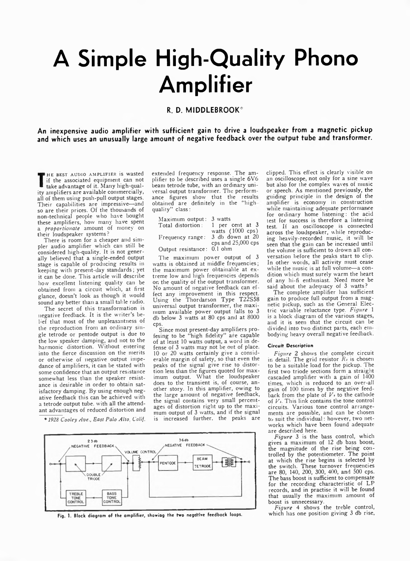## **A Simple High-Quality Phono Amplifier**

## **R. D. M IDDLEBRO O K\***

**An inexpensive audio amplifier with sufficient gain to drive a loudspeaker from a magnetic pickup and which uses an unusually large amount of negative feedback over the output tube and transformer.**

It the associated equipment can not<br>take advantage of it. Many high-qual-HE BEST AUDIO AMPLIFIER is wasted if the associated equipment can not ity amplifiers are available commercially, all of them using push-pull output stages. Their capabilities are impressive—and so are their prices. Of the thousands of non-technical people who have bought these amplifiers, how many have spent a *proportionate* amount of money on their loudspeaker systems?

There is room for a cheaper and simpler audio amplifier which can still be considered high-quality. It is not generally believed that a single-ended output stage is capable of producing results in keeping with present-day standards; yet it can be done. This article will describe how excellent listening quality can be obtained from a circuit which, at first glance, doesn't look as though it would sound any better than a small table radio.

The secret of this transformation is negative feedback. It is the writer's belief that most of the unpleasantness of the reproduction from an ordinary single tetrode or pentode output is due to the low speaker damping, and not to the harmonic distortion. Without entering into the fierce discussion on the merits or otherwise of negative output impedance of amplifiers, it can be stated with some confidence that an output resistance somewhat less than the speaker resistance is desirable in order to obtain satisfactory damping. By using enough negative feedback this can be achieved with a tetrode output tube, with all the attendant advantages of reduced distortion and

\* *1928 Cooley Ave., East Palo Alto, Calif.*

extended frequency response. The amplifier to be described uses a single 6V6 beam tetrode tube, with an ordinary universal output transformer. The performance figures show that the results obtained are definitely in the "high quality" class:

| $Maximum$ output:          | 3 watts            |
|----------------------------|--------------------|
| Total distortion:          | 1 per cent at 3    |
|                            | watts (1000 cps)   |
| Frequency range:           | 3 db down at 20    |
|                            | cps and 25,000 cps |
| Output resistance: 0.1 ohm |                    |

The maximum power output of 3 watts is obtained at middle frequencies; the maximum power obtainable at extreme low and high frequencies depends on the quality of the output transformer. No amount of negative feedback can effect any improvement in this respect. Using the Thordarson Type T22S58 universal output transformer, the maximum available power output falls to 3 db below 3 watts at 80 cps and at 8000 cps.

Since most present-day amplifiers profesing to be "high fidelity" are capable of at least 10 watts output, a word in defense of 3 watts may not be out of place. 10 or 20 watts certainly give a considerable margin of safety, so that even the peaks of the signal give rise to distortion less than the figures quoted for maximum output. What the loudspeaker does to the transient is, of course, another story. In this amplifier, owing to the large amount of negative feedback, the signal contains very small percentages of distortion right up to the maximum output of 3 watts, and if the signal is increased further, the peaks are



Fig. 1. Block diagram of the amplifier, showiag the two negdtlve feedback loops.

clipped. This effect is clearly visible on an oscilloscope, not only for a sine wave but also for the complex waves of music or speech. As mentioned previously, the guiding principle in the design of the amolifier is economy in construction while maintaining adequate performance for ordinary home listening: the acid test for success is therefore a listening test. If an oscilloscope is connected across the loudspeaker, while reproducing heavily-recorded music, it will be seen that the gain can be increased until the volume is sufficient to drown all conversation before the peaks start to clip. In other wotds, all activity must cease while the music is at full volume—a condition which must surely warm the heart of any hi-fi enthusiast. Need more be said about the adequacy of 3 watts?

The complete amplifier has sufficient gain to produce full output from a magnetic pickup, such as the General Electric variable reluctance type. *Figure* 1 is a block diagram of the various stages, and it is seen that the circuit can be divided into two distinct parts, each embodying heavy overall negative feedback.

## Circuit Description

*Figure 2* shows the complete circuit in detail. The grid resistor *Ri* is chosen to be a suitable load for the pickup. The first two triode sections form a straight cascaded amplifier with a gain of 1400 times which is reduced to an over-all gain of 100 times by the negative feedback from the plate of  $V_1$  to the cathode of  $V<sub>1</sub>$ . This link contains the tone control circuits. Various tone control arrangements are possible, and can be chosen to suit the individual: however, two networks which have been found adequate are described here.

*Figure* 3 is the bass control, which gives a maximum of 12 db bass boost, the magnitude of the rise being controlled by the potentiometer. The point at which the rise begins is selected by the switch. These turnover frequencies are 80, 140, 200, 300, 400, and 500 cps. The bass boost is sufficient to compensate for the recording characteristic of LP records, and in practise it will be found that usually the maximum amount of boost is unnecessary.

*Figure* 4 shows the treble control, which has one position giving 3 db rise.